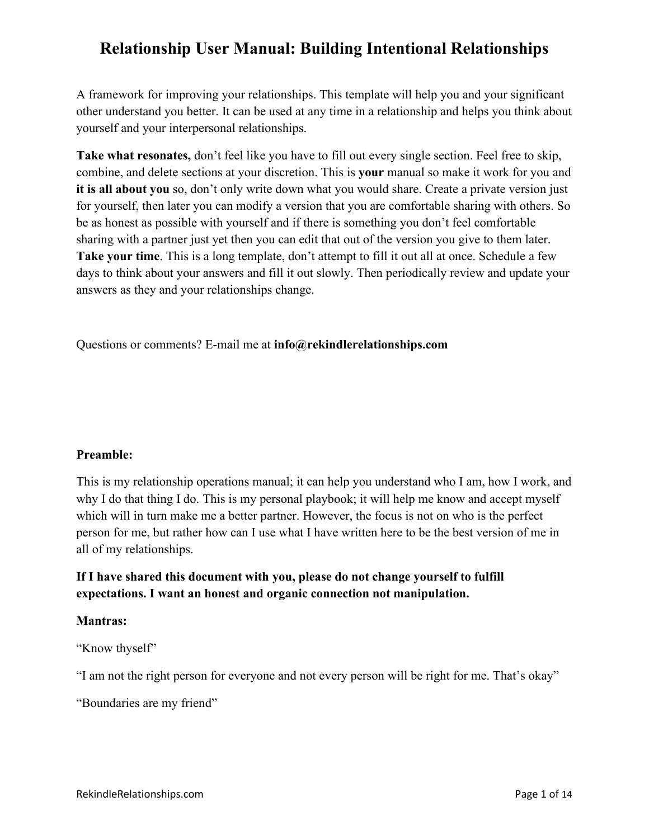A framework for improving your relationships. This template will help you and your significant other understand you better. It can be used at any time in a relationship and helps you think about yourself and your interpersonal relationships.

**Take what resonates,** don't feel like you have to fill out every single section. Feel free to skip, combine, and delete sections at your discretion. This is **your** manual so make it work for you and **it is all about you** so, don't only write down what you would share. Create a private version just for yourself, then later you can modify a version that you are comfortable sharing with others. So be as honest as possible with yourself and if there is something you don't feel comfortable sharing with a partner just yet then you can edit that out of the version you give to them later. **Take your time**. This is a long template, don't attempt to fill it out all at once. Schedule a few days to think about your answers and fill it out slowly. Then periodically review and update your answers as they and your relationships change.

Questions or comments? E-mail me at **info@rekindlerelationships.com**

### **Preamble:**

This is my relationship operations manual; it can help you understand who I am, how I work, and why I do that thing I do. This is my personal playbook; it will help me know and accept myself which will in turn make me a better partner. However, the focus is not on who is the perfect person for me, but rather how can I use what I have written here to be the best version of me in all of my relationships.

### **If I have shared this document with you, please do not change yourself to fulfill expectations. I want an honest and organic connection not manipulation.**

### **Mantras:**

"Know thyself"

"I am not the right person for everyone and not every person will be right for me. That's okay"

"Boundaries are my friend"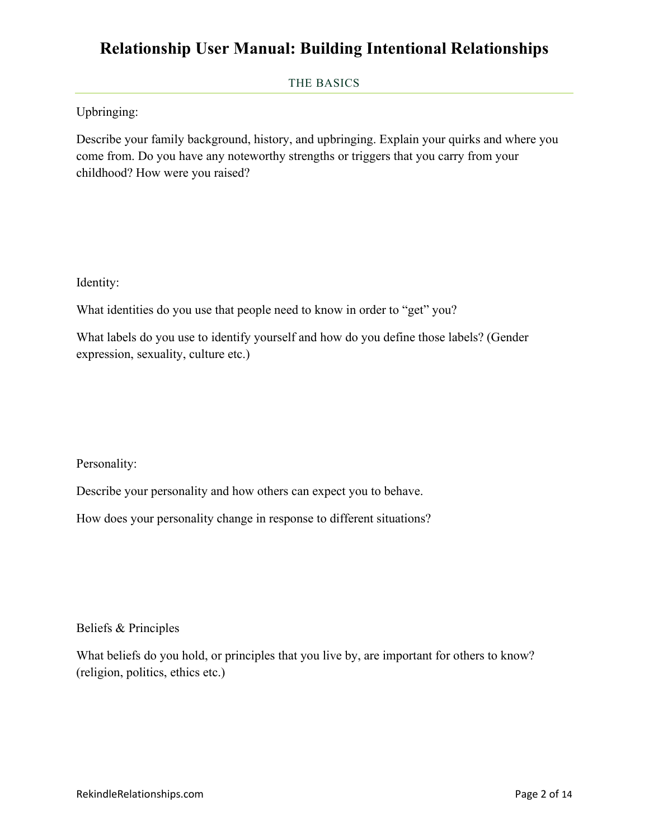#### THE BASICS

Upbringing:

Describe your family background, history, and upbringing. Explain your quirks and where you come from. Do you have any noteworthy strengths or triggers that you carry from your childhood? How were you raised?

Identity:

What identities do you use that people need to know in order to "get" you?

What labels do you use to identify yourself and how do you define those labels? (Gender expression, sexuality, culture etc.)

Personality:

Describe your personality and how others can expect you to behave.

How does your personality change in response to different situations?

Beliefs & Principles

What beliefs do you hold, or principles that you live by, are important for others to know? (religion, politics, ethics etc.)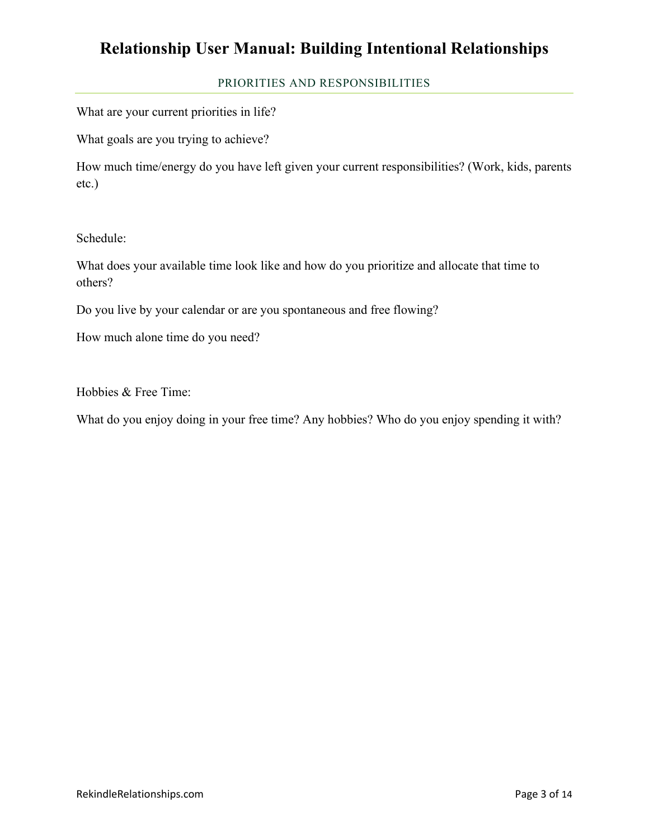#### PRIORITIES AND RESPONSIBILITIES

What are your current priorities in life?

What goals are you trying to achieve?

How much time/energy do you have left given your current responsibilities? (Work, kids, parents etc.)

Schedule:

What does your available time look like and how do you prioritize and allocate that time to others?

Do you live by your calendar or are you spontaneous and free flowing?

How much alone time do you need?

Hobbies & Free Time:

What do you enjoy doing in your free time? Any hobbies? Who do you enjoy spending it with?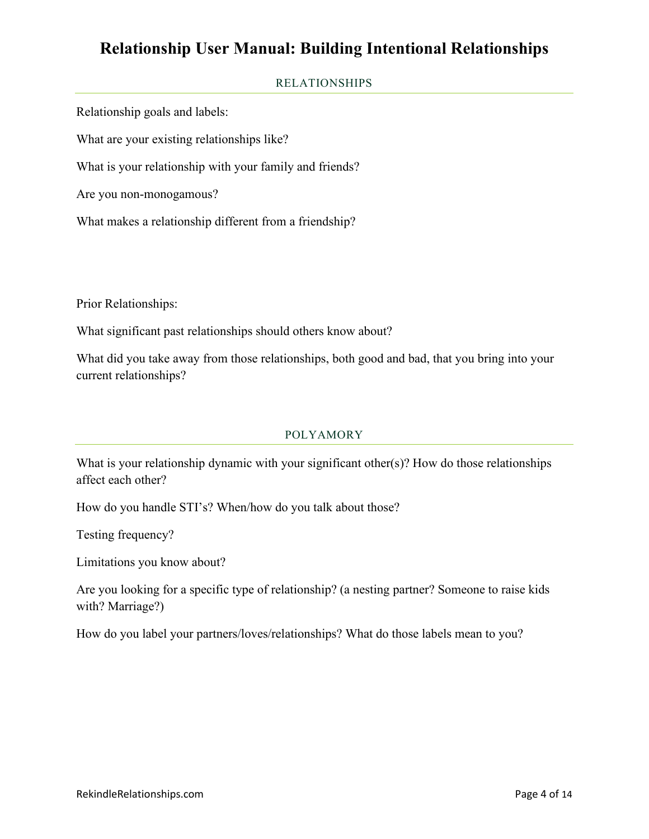### RELATIONSHIPS

Relationship goals and labels:

What are your existing relationships like?

What is your relationship with your family and friends?

Are you non-monogamous?

What makes a relationship different from a friendship?

Prior Relationships:

What significant past relationships should others know about?

What did you take away from those relationships, both good and bad, that you bring into your current relationships?

### POLYAMORY

What is your relationship dynamic with your significant other(s)? How do those relationships affect each other?

How do you handle STI's? When/how do you talk about those?

Testing frequency?

Limitations you know about?

Are you looking for a specific type of relationship? (a nesting partner? Someone to raise kids with? Marriage?)

How do you label your partners/loves/relationships? What do those labels mean to you?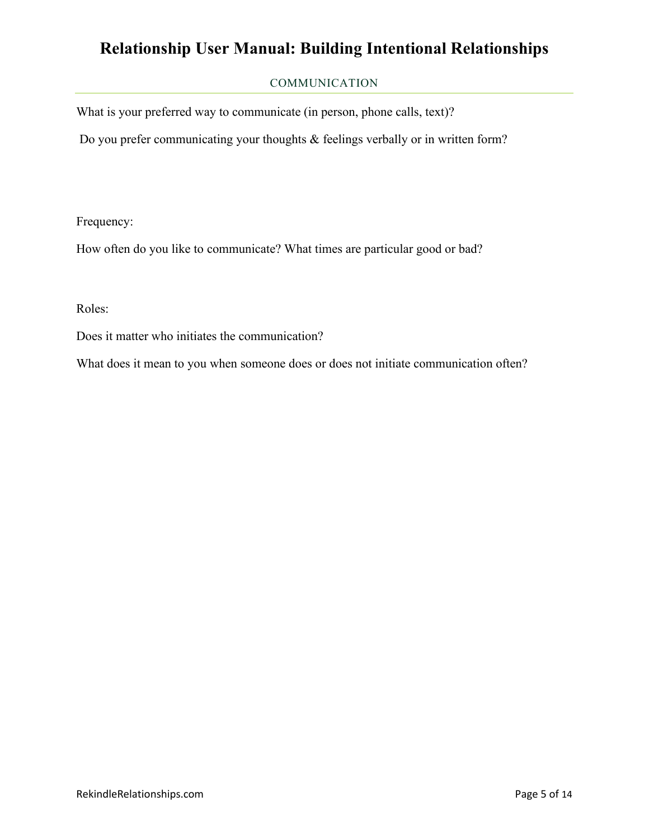### COMMUNICATION

What is your preferred way to communicate (in person, phone calls, text)?

Do you prefer communicating your thoughts & feelings verbally or in written form?

Frequency:

How often do you like to communicate? What times are particular good or bad?

Roles:

Does it matter who initiates the communication?

What does it mean to you when someone does or does not initiate communication often?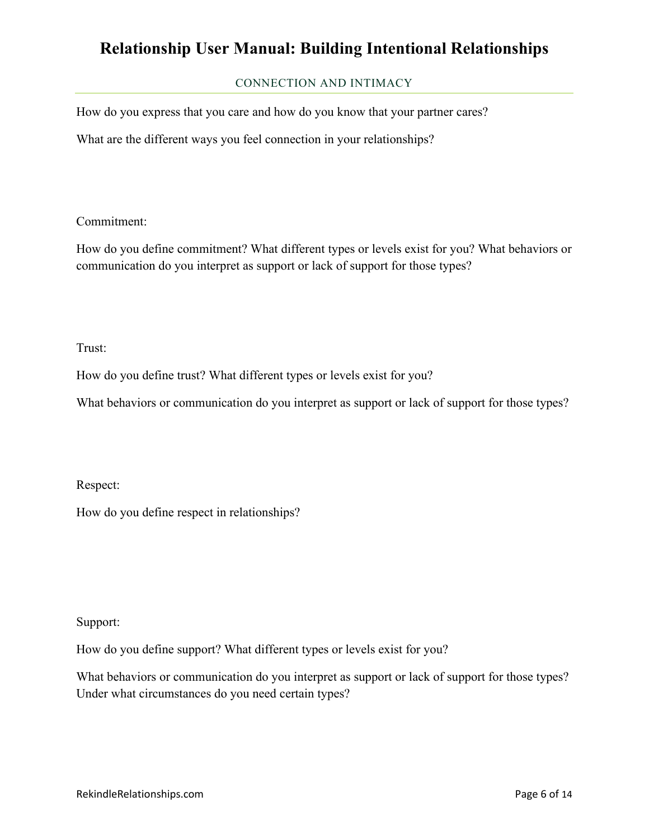### CONNECTION AND INTIMACY

How do you express that you care and how do you know that your partner cares?

What are the different ways you feel connection in your relationships?

Commitment:

How do you define commitment? What different types or levels exist for you? What behaviors or communication do you interpret as support or lack of support for those types?

Trust:

How do you define trust? What different types or levels exist for you?

What behaviors or communication do you interpret as support or lack of support for those types?

Respect:

How do you define respect in relationships?

Support:

How do you define support? What different types or levels exist for you?

What behaviors or communication do you interpret as support or lack of support for those types? Under what circumstances do you need certain types?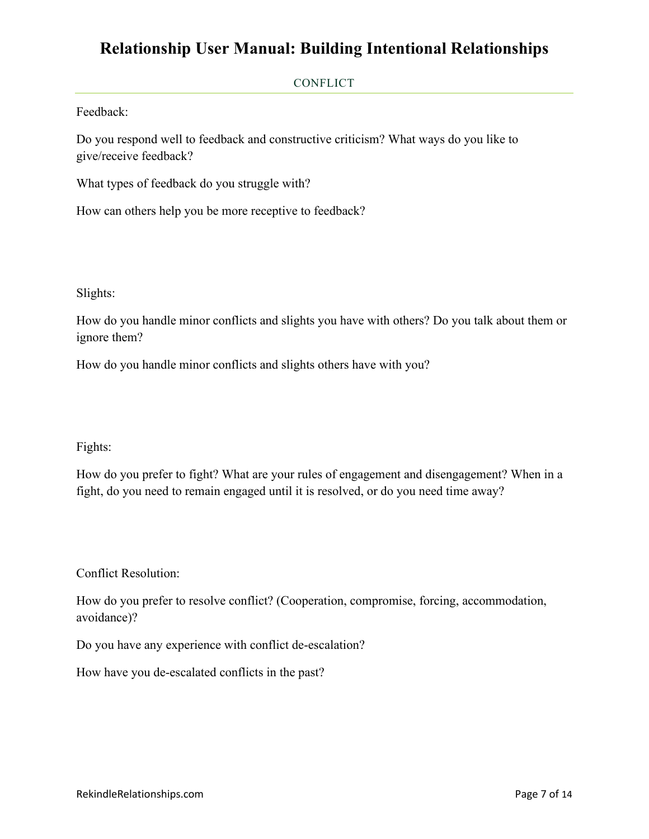#### CONFLICT

Feedback:

Do you respond well to feedback and constructive criticism? What ways do you like to give/receive feedback?

What types of feedback do you struggle with?

How can others help you be more receptive to feedback?

Slights:

How do you handle minor conflicts and slights you have with others? Do you talk about them or ignore them?

How do you handle minor conflicts and slights others have with you?

### Fights:

How do you prefer to fight? What are your rules of engagement and disengagement? When in a fight, do you need to remain engaged until it is resolved, or do you need time away?

Conflict Resolution:

How do you prefer to resolve conflict? (Cooperation, compromise, forcing, accommodation, avoidance)?

Do you have any experience with conflict de-escalation?

How have you de-escalated conflicts in the past?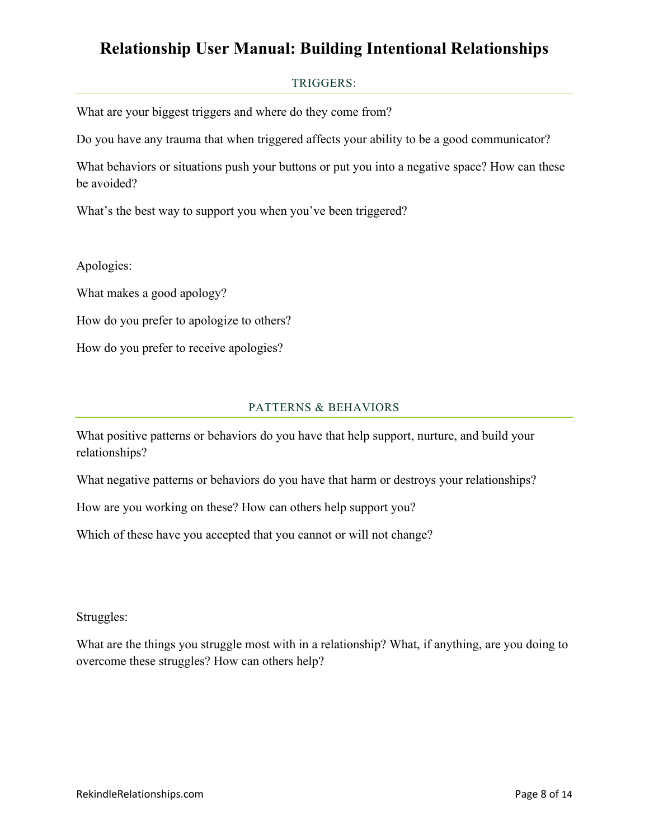### TRIGGERS:

What are your biggest triggers and where do they come from?

Do you have any trauma that when triggered affects your ability to be a good communicator?

What behaviors or situations push your buttons or put you into a negative space? How can these be avoided?

What's the best way to support you when you've been triggered?

Apologies:

What makes a good apology?

How do you prefer to apologize to others?

How do you prefer to receive apologies?

#### PATTERNS & BEHAVIORS

What positive patterns or behaviors do you have that help support, nurture, and build your relationships?

What negative patterns or behaviors do you have that harm or destroys your relationships?

How are you working on these? How can others help support you?

Which of these have you accepted that you cannot or will not change?

Struggles:

What are the things you struggle most with in a relationship? What, if anything, are you doing to overcome these struggles? How can others help?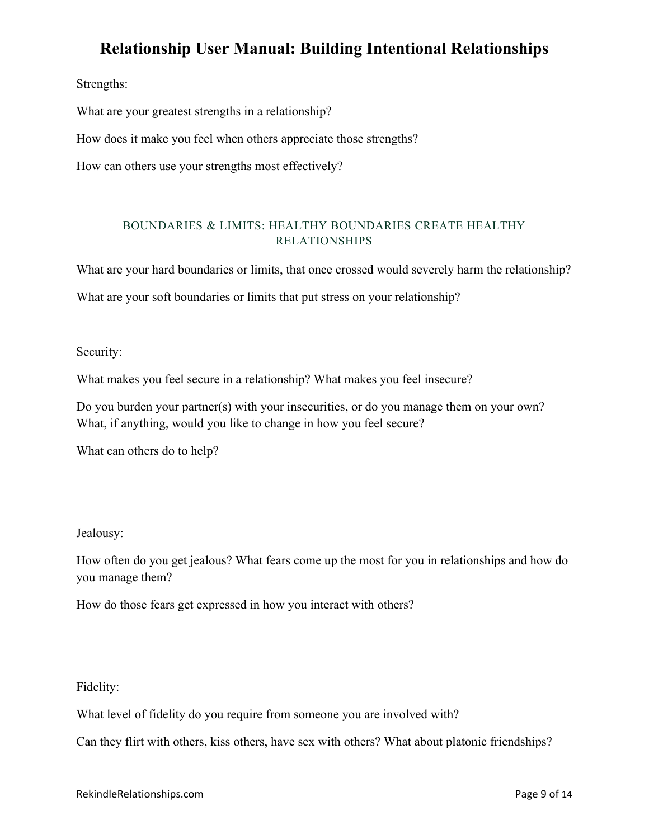Strengths:

What are your greatest strengths in a relationship?

How does it make you feel when others appreciate those strengths?

How can others use your strengths most effectively?

### BOUNDARIES & LIMITS: HEALTHY BOUNDARIES CREATE HEALTHY RELATIONSHIPS

What are your hard boundaries or limits, that once crossed would severely harm the relationship?

What are your soft boundaries or limits that put stress on your relationship?

Security:

What makes you feel secure in a relationship? What makes you feel insecure?

Do you burden your partner(s) with your insecurities, or do you manage them on your own? What, if anything, would you like to change in how you feel secure?

What can others do to help?

### Jealousy:

How often do you get jealous? What fears come up the most for you in relationships and how do you manage them?

How do those fears get expressed in how you interact with others?

Fidelity:

What level of fidelity do you require from someone you are involved with?

Can they flirt with others, kiss others, have sex with others? What about platonic friendships?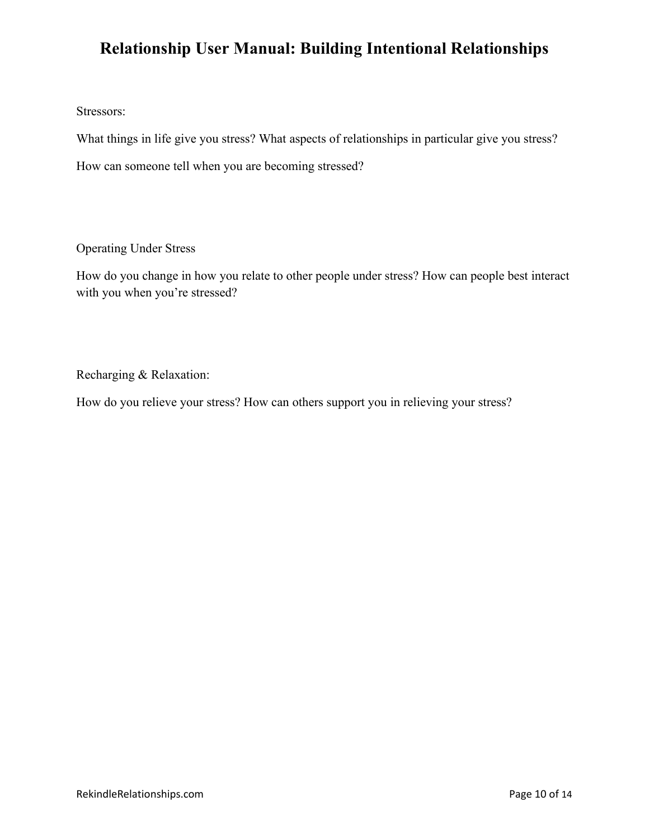Stressors:

What things in life give you stress? What aspects of relationships in particular give you stress?

How can someone tell when you are becoming stressed?

Operating Under Stress

How do you change in how you relate to other people under stress? How can people best interact with you when you're stressed?

Recharging & Relaxation:

How do you relieve your stress? How can others support you in relieving your stress?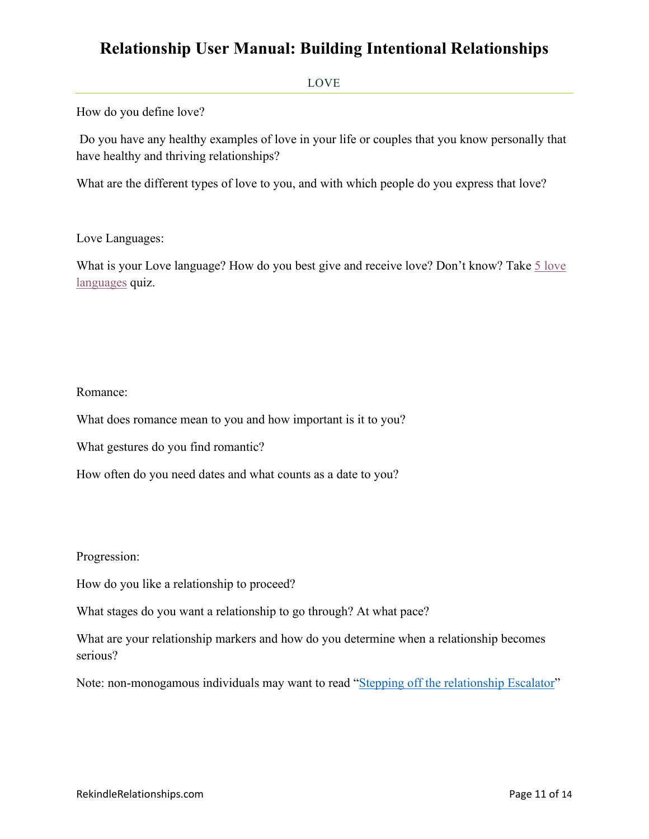#### LOVE

How do you define love?

 Do you have any healthy examples of love in your life or couples that you know personally that have healthy and thriving relationships?

What are the different types of love to you, and with which people do you express that love?

#### Love Languages:

What is your Love language? How do you best give and receive love? Don't know? Take 5 love [languages](https://www.5lovelanguages.com/quizzes) quiz.

#### Romance:

What does romance mean to you and how important is it to you?

What gestures do you find romantic?

How often do you need dates and what counts as a date to you?

Progression:

How do you like a relationship to proceed?

What stages do you want a relationship to go through? At what pace?

What are your relationship markers and how do you determine when a relationship becomes serious?

Note: non-monogamous individuals may want to read ["Stepping off the relationship Escalator"](https://www.amazon.com/Stepping-Off-Relationship-Escalator-Uncommon/dp/0998647012)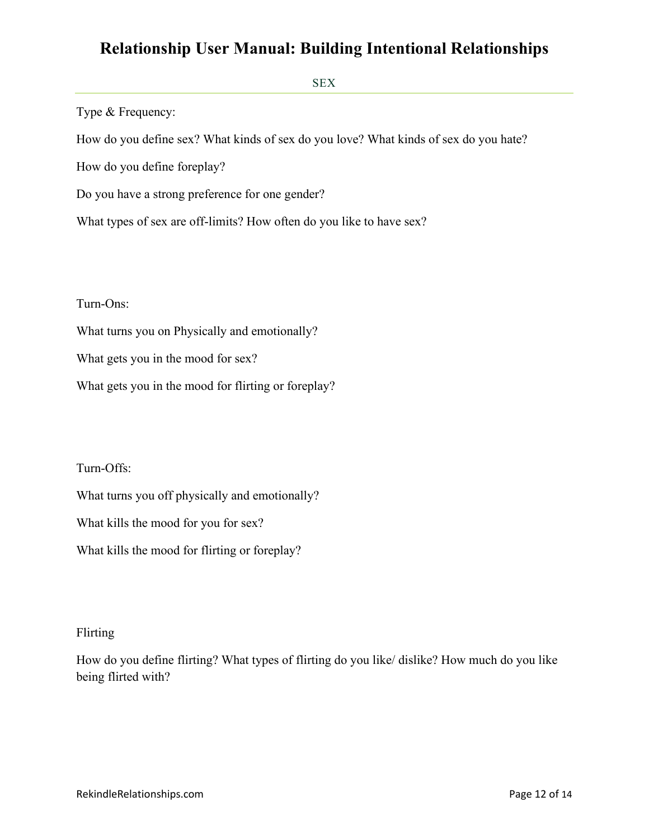SEX

Type & Frequency:

How do you define sex? What kinds of sex do you love? What kinds of sex do you hate?

How do you define foreplay?

Do you have a strong preference for one gender?

What types of sex are off-limits? How often do you like to have sex?

Turn-Ons:

What turns you on Physically and emotionally?

What gets you in the mood for sex?

What gets you in the mood for flirting or foreplay?

Turn-Offs:

What turns you off physically and emotionally?

What kills the mood for you for sex?

What kills the mood for flirting or foreplay?

### Flirting

How do you define flirting? What types of flirting do you like/ dislike? How much do you like being flirted with?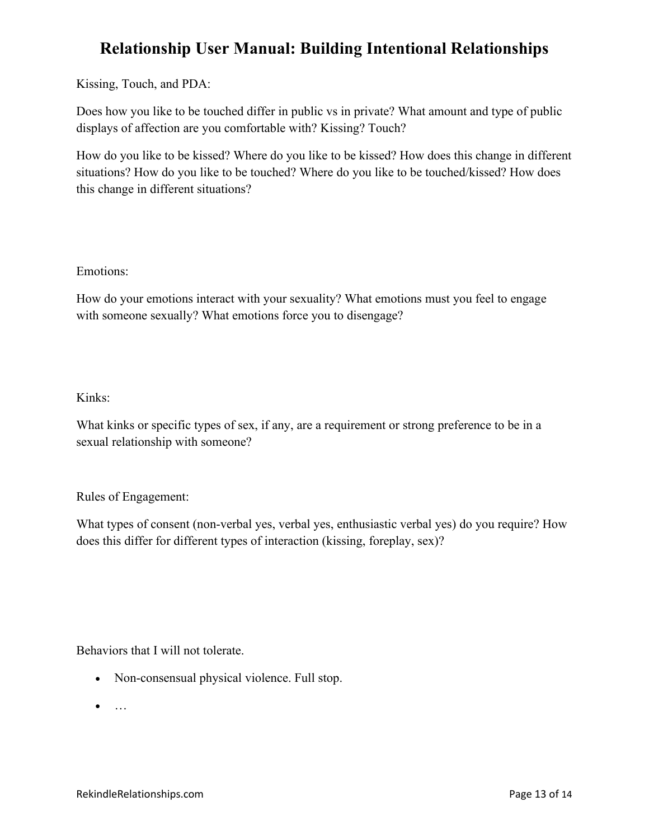Kissing, Touch, and PDA:

Does how you like to be touched differ in public vs in private? What amount and type of public displays of affection are you comfortable with? Kissing? Touch?

How do you like to be kissed? Where do you like to be kissed? How does this change in different situations? How do you like to be touched? Where do you like to be touched/kissed? How does this change in different situations?

Emotions:

How do your emotions interact with your sexuality? What emotions must you feel to engage with someone sexually? What emotions force you to disengage?

### Kinks:

What kinks or specific types of sex, if any, are a requirement or strong preference to be in a sexual relationship with someone?

### Rules of Engagement:

What types of consent (non-verbal yes, verbal yes, enthusiastic verbal yes) do you require? How does this differ for different types of interaction (kissing, foreplay, sex)?

Behaviors that I will not tolerate.

- Non-consensual physical violence. Full stop.
- $\bullet$  ...